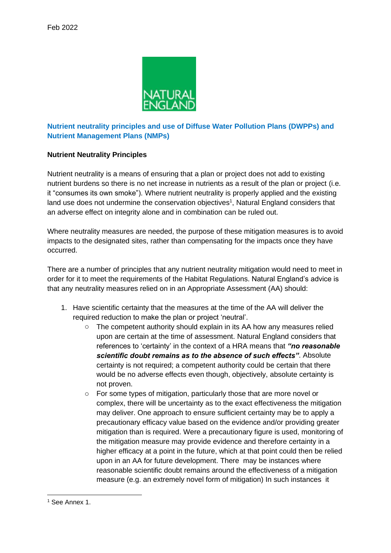

## **Nutrient neutrality principles and use of Diffuse Water Pollution Plans (DWPPs) and Nutrient Management Plans (NMPs)**

## **Nutrient Neutrality Principles**

Nutrient neutrality is a means of ensuring that a plan or project does not add to existing nutrient burdens so there is no net increase in nutrients as a result of the plan or project (i.e. it "consumes its own smoke"). Where nutrient neutrality is properly applied and the existing land use does not undermine the conservation objectives<sup>1</sup>, Natural England considers that an adverse effect on integrity alone and in combination can be ruled out.

Where neutrality measures are needed, the purpose of these mitigation measures is to avoid impacts to the designated sites, rather than compensating for the impacts once they have occurred.

There are a number of principles that any nutrient neutrality mitigation would need to meet in order for it to meet the requirements of the Habitat Regulations. Natural England's advice is that any neutrality measures relied on in an Appropriate Assessment (AA) should:

- 1. Have scientific certainty that the measures at the time of the AA will deliver the required reduction to make the plan or project 'neutral'.
	- o The competent authority should explain in its AA how any measures relied upon are certain at the time of assessment. Natural England considers that references to 'certainty' in the context of a HRA means that *"no reasonable scientific doubt remains as to the absence of such effects"*. Absolute certainty is not required; a competent authority could be certain that there would be no adverse effects even though, objectively, absolute certainty is not proven.
	- o For some types of mitigation, particularly those that are more novel or complex, there will be uncertainty as to the exact effectiveness the mitigation may deliver. One approach to ensure sufficient certainty may be to apply a precautionary efficacy value based on the evidence and/or providing greater mitigation than is required. Were a precautionary figure is used, monitoring of the mitigation measure may provide evidence and therefore certainty in a higher efficacy at a point in the future, which at that point could then be relied upon in an AA for future development. There may be instances where reasonable scientific doubt remains around the effectiveness of a mitigation measure (e.g. an extremely novel form of mitigation) In such instances it

<sup>1</sup> See Annex 1.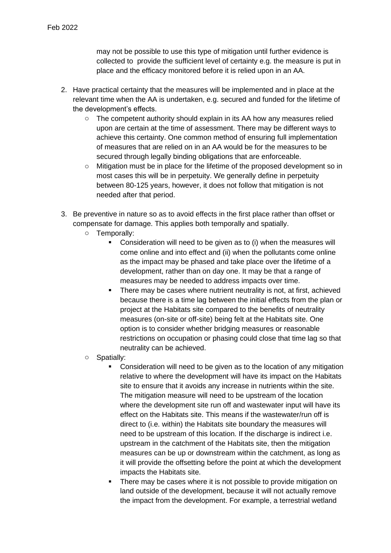may not be possible to use this type of mitigation until further evidence is collected to provide the sufficient level of certainty e.g. the measure is put in place and the efficacy monitored before it is relied upon in an AA.

- 2. Have practical certainty that the measures will be implemented and in place at the relevant time when the AA is undertaken, e.g. secured and funded for the lifetime of the development's effects.
	- $\circ$  The competent authority should explain in its AA how any measures relied upon are certain at the time of assessment. There may be different ways to achieve this certainty. One common method of ensuring full implementation of measures that are relied on in an AA would be for the measures to be secured through legally binding obligations that are enforceable.
	- o Mitigation must be in place for the lifetime of the proposed development so in most cases this will be in perpetuity. We generally define in perpetuity between 80-125 years, however, it does not follow that mitigation is not needed after that period.
- 3. Be preventive in nature so as to avoid effects in the first place rather than offset or compensate for damage. This applies both temporally and spatially.
	- o Temporally:
		- Consideration will need to be given as to (i) when the measures will come online and into effect and (ii) when the pollutants come online as the impact may be phased and take place over the lifetime of a development, rather than on day one. It may be that a range of measures may be needed to address impacts over time.
		- There may be cases where nutrient neutrality is not, at first, achieved because there is a time lag between the initial effects from the plan or project at the Habitats site compared to the benefits of neutrality measures (on-site or off-site) being felt at the Habitats site. One option is to consider whether bridging measures or reasonable restrictions on occupation or phasing could close that time lag so that neutrality can be achieved.
	- o Spatially:
		- Consideration will need to be given as to the location of any mitigation relative to where the development will have its impact on the Habitats site to ensure that it avoids any increase in nutrients within the site. The mitigation measure will need to be upstream of the location where the development site run off and wastewater input will have its effect on the Habitats site. This means if the wastewater/run off is direct to (i.e. within) the Habitats site boundary the measures will need to be upstream of this location. If the discharge is indirect i.e. upstream in the catchment of the Habitats site, then the mitigation measures can be up or downstream within the catchment, as long as it will provide the offsetting before the point at which the development impacts the Habitats site.
		- There may be cases where it is not possible to provide mitigation on land outside of the development, because it will not actually remove the impact from the development. For example, a terrestrial wetland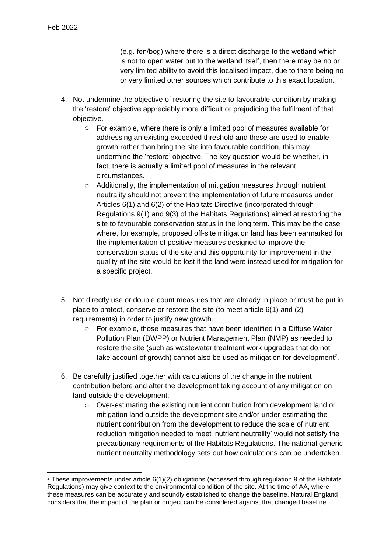(e.g. fen/bog) where there is a direct discharge to the wetland which is not to open water but to the wetland itself, then there may be no or very limited ability to avoid this localised impact, due to there being no or very limited other sources which contribute to this exact location.

- 4. Not undermine the objective of restoring the site to favourable condition by making the 'restore' objective appreciably more difficult or prejudicing the fulfilment of that objective.
	- o For example, where there is only a limited pool of measures available for addressing an existing exceeded threshold and these are used to enable growth rather than bring the site into favourable condition, this may undermine the 'restore' objective. The key question would be whether, in fact, there is actually a limited pool of measures in the relevant circumstances.
	- o Additionally, the implementation of mitigation measures through nutrient neutrality should not prevent the implementation of future measures under Articles 6(1) and 6(2) of the Habitats Directive (incorporated through Regulations 9(1) and 9(3) of the Habitats Regulations) aimed at restoring the site to favourable conservation status in the long term. This may be the case where, for example, proposed off-site mitigation land has been earmarked for the implementation of positive measures designed to improve the conservation status of the site and this opportunity for improvement in the quality of the site would be lost if the land were instead used for mitigation for a specific project.
- 5. Not directly use or double count measures that are already in place or must be put in place to protect, conserve or restore the site (to meet article 6(1) and (2) requirements) in order to justify new growth.
	- o For example, those measures that have been identified in a Diffuse Water Pollution Plan (DWPP) or Nutrient Management Plan (NMP) as needed to restore the site (such as wastewater treatment work upgrades that do not take account of growth) cannot also be used as mitigation for development<sup>2</sup>.
- 6. Be carefully justified together with calculations of the change in the nutrient contribution before and after the development taking account of any mitigation on land outside the development.
	- $\circ$  Over-estimating the existing nutrient contribution from development land or mitigation land outside the development site and/or under-estimating the nutrient contribution from the development to reduce the scale of nutrient reduction mitigation needed to meet 'nutrient neutrality' would not satisfy the precautionary requirements of the Habitats Regulations. The national generic nutrient neutrality methodology sets out how calculations can be undertaken.

<sup>&</sup>lt;sup>2</sup> These improvements under article  $6(1)(2)$  obligations (accessed through regulation 9 of the Habitats Regulations) may give context to the environmental condition of the site. At the time of AA, where these measures can be accurately and soundly established to change the baseline, Natural England considers that the impact of the plan or project can be considered against that changed baseline.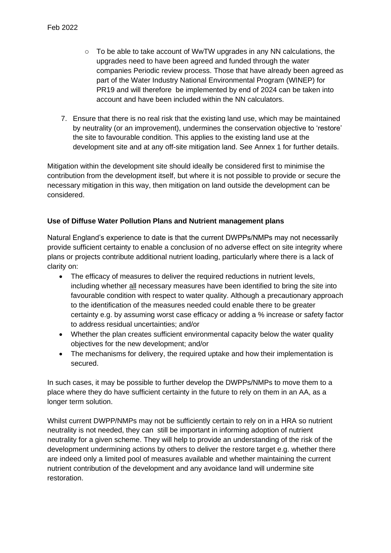- $\circ$  To be able to take account of WwTW upgrades in any NN calculations, the upgrades need to have been agreed and funded through the water companies Periodic review process. Those that have already been agreed as part of the Water Industry National Environmental Program (WINEP) for PR19 and will therefore be implemented by end of 2024 can be taken into account and have been included within the NN calculators.
- 7. Ensure that there is no real risk that the existing land use, which may be maintained by neutrality (or an improvement), undermines the conservation objective to 'restore' the site to favourable condition. This applies to the existing land use at the development site and at any off-site mitigation land. See Annex 1 for further details.

Mitigation within the development site should ideally be considered first to minimise the contribution from the development itself, but where it is not possible to provide or secure the necessary mitigation in this way, then mitigation on land outside the development can be considered.

## **Use of Diffuse Water Pollution Plans and Nutrient management plans**

Natural England's experience to date is that the current DWPPs/NMPs may not necessarily provide sufficient certainty to enable a conclusion of no adverse effect on site integrity where plans or projects contribute additional nutrient loading, particularly where there is a lack of clarity on:

- The efficacy of measures to deliver the required reductions in nutrient levels, including whether all necessary measures have been identified to bring the site into favourable condition with respect to water quality. Although a precautionary approach to the identification of the measures needed could enable there to be greater certainty e.g. by assuming worst case efficacy or adding a % increase or safety factor to address residual uncertainties; and/or
- Whether the plan creates sufficient environmental capacity below the water quality objectives for the new development; and/or
- The mechanisms for delivery, the required uptake and how their implementation is secured.

In such cases, it may be possible to further develop the DWPPs/NMPs to move them to a place where they do have sufficient certainty in the future to rely on them in an AA, as a longer term solution.

Whilst current DWPP/NMPs may not be sufficiently certain to rely on in a HRA so nutrient neutrality is not needed, they can still be important in informing adoption of nutrient neutrality for a given scheme. They will help to provide an understanding of the risk of the development undermining actions by others to deliver the restore target e.g. whether there are indeed only a limited pool of measures available and whether maintaining the current nutrient contribution of the development and any avoidance land will undermine site restoration.